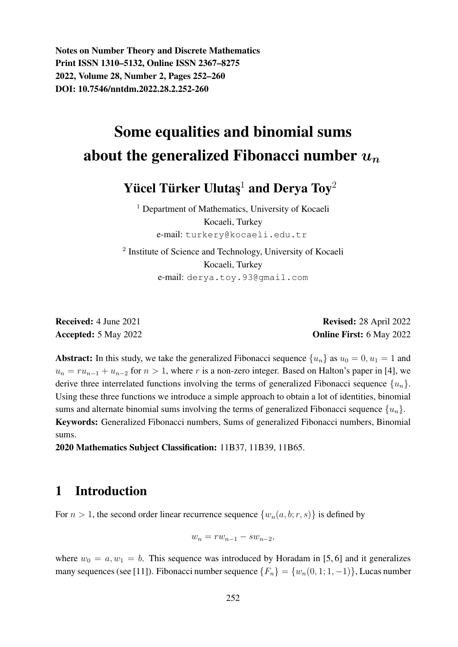Notes on Number Theory and Discrete Mathematics Print ISSN 1310–5132, Online ISSN 2367–8275 2022, Volume 28, Number 2, Pages 252–260 DOI: 10.7546/nntdm.2022.28.2.252-260

# Some equalities and binomial sums about the generalized Fibonacci number  $u_n$

Yücel Türker Ulutaş $^1$  and Derya Toy $^2$ 

<sup>1</sup> Department of Mathematics, University of Kocaeli Kocaeli, Turkey e-mail: turkery@kocaeli.edu.tr

<sup>2</sup> Institute of Science and Technology, University of Kocaeli Kocaeli, Turkey e-mail: derya.toy.93@gmail.com

Received: 4 June 2021 Revised: 28 April 2022 Accepted: 5 May 2022 **Online First: 6 May 2022** 

**Abstract:** In this study, we take the generalized Fibonacci sequence  $\{u_n\}$  as  $u_0 = 0, u_1 = 1$  and  $u_n = ru_{n-1} + u_{n-2}$  for  $n > 1$ , where r is a non-zero integer. Based on Halton's paper in [4], we derive three interrelated functions involving the terms of generalized Fibonacci sequence  $\{u_n\}$ . Using these three functions we introduce a simple approach to obtain a lot of identities, binomial sums and alternate binomial sums involving the terms of generalized Fibonacci sequence  $\{u_n\}$ . Keywords: Generalized Fibonacci numbers, Sums of generalized Fibonacci numbers, Binomial sums.

2020 Mathematics Subject Classification: 11B37, 11B39, 11B65.

### 1 Introduction

For  $n > 1$ , the second order linear recurrence sequence  $\{w_n(a, b; r, s)\}\$ is defined by

$$
w_n = rw_{n-1} - sw_{n-2},
$$

where  $w_0 = a, w_1 = b$ . This sequence was introduced by Horadam in [5, 6] and it generalizes many sequences (see [11]). Fibonacci number sequence  $\{F_n\} = \{w_n(0, 1; 1, -1)\}\$ , Lucas number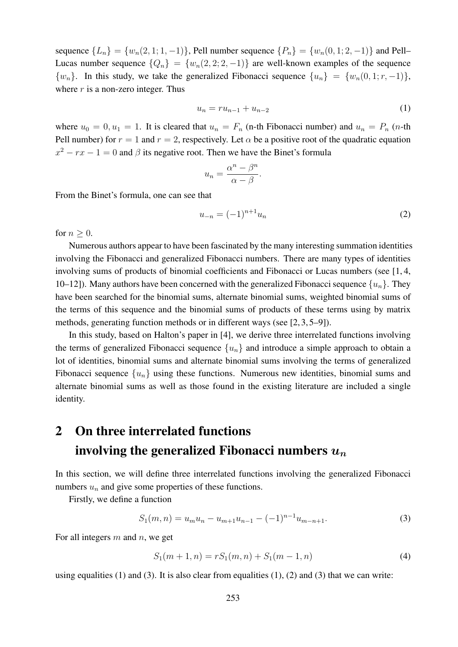sequence  ${L_n} = {w_n(2, 1; 1, -1)}$ , Pell number sequence  ${P_n} = {w_n(0, 1; 2, -1)}$  and Pell– Lucas number sequence  $\{Q_n\} = \{w_n(2, 2; 2, -1)\}\$  are well-known examples of the sequence  $\{w_n\}$ . In this study, we take the generalized Fibonacci sequence  $\{u_n\} = \{w_n(0, 1; r, -1)\}\$ where  $r$  is a non-zero integer. Thus

$$
u_n = ru_{n-1} + u_{n-2}
$$
 (1)

where  $u_0 = 0, u_1 = 1$ . It is cleared that  $u_n = F_n$  (n-th Fibonacci number) and  $u_n = P_n$  (n-th Pell number) for  $r = 1$  and  $r = 2$ , respectively. Let  $\alpha$  be a positive root of the quadratic equation  $x^2 - rx - 1 = 0$  and  $\beta$  its negative root. Then we have the Binet's formula

$$
u_n = \frac{\alpha^n - \beta^n}{\alpha - \beta}.
$$

From the Binet's formula, one can see that

$$
u_{-n} = (-1)^{n+1} u_n \tag{2}
$$

for  $n \geq 0$ .

Numerous authors appear to have been fascinated by the many interesting summation identities involving the Fibonacci and generalized Fibonacci numbers. There are many types of identities involving sums of products of binomial coefficients and Fibonacci or Lucas numbers (see [1, 4, 10–12]). Many authors have been concerned with the generalized Fibonacci sequence  $\{u_n\}$ . They have been searched for the binomial sums, alternate binomial sums, weighted binomial sums of the terms of this sequence and the binomial sums of products of these terms using by matrix methods, generating function methods or in different ways (see [2, 3, 5–9]).

In this study, based on Halton's paper in [4], we derive three interrelated functions involving the terms of generalized Fibonacci sequence  $\{u_n\}$  and introduce a simple approach to obtain a lot of identities, binomial sums and alternate binomial sums involving the terms of generalized Fibonacci sequence  $\{u_n\}$  using these functions. Numerous new identities, binomial sums and alternate binomial sums as well as those found in the existing literature are included a single identity.

## 2 On three interrelated functions involving the generalized Fibonacci numbers  $u_n$

In this section, we will define three interrelated functions involving the generalized Fibonacci numbers  $u_n$  and give some properties of these functions.

Firstly, we define a function

$$
S_1(m,n) = u_m u_n - u_{m+1} u_{n-1} - (-1)^{n-1} u_{m-n+1}.
$$
\n(3)

For all integers  $m$  and  $n$ , we get

$$
S_1(m+1,n) = rS_1(m,n) + S_1(m-1,n)
$$
\n(4)

using equalities (1) and (3). It is also clear from equalities  $(1)$ ,  $(2)$  and  $(3)$  that we can write: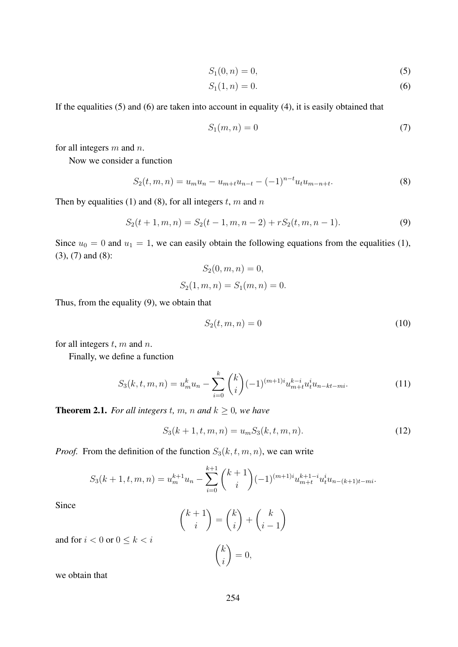$$
S_1(0, n) = 0,\t\t(5)
$$

$$
S_1(1, n) = 0.\t\t(6)
$$

If the equalities (5) and (6) are taken into account in equality (4), it is easily obtained that

$$
S_1(m,n) = 0\tag{7}
$$

for all integers  $m$  and  $n$ .

Now we consider a function

$$
S_2(t, m, n) = u_m u_n - u_{m+t} u_{n-t} - (-1)^{n-t} u_t u_{m-n+t}.
$$
\n(8)

Then by equalities (1) and (8), for all integers  $t$ ,  $m$  and  $n$ 

$$
S_2(t+1,m,n) = S_2(t-1,m,n-2) + rS_2(t,m,n-1). \tag{9}
$$

Since  $u_0 = 0$  and  $u_1 = 1$ , we can easily obtain the following equations from the equalities (1), (3), (7) and (8):

$$
S_2(0, m, n) = 0,
$$
  

$$
S_2(1, m, n) = S_1(m, n) = 0.
$$

Thus, from the equality (9), we obtain that

$$
S_2(t, m, n) = 0 \tag{10}
$$

for all integers  $t$ ,  $m$  and  $n$ .

Finally, we define a function

$$
S_3(k, t, m, n) = u_m^k u_n - \sum_{i=0}^k {k \choose i} (-1)^{(m+1)i} u_{m+t}^{k-i} u_t^i u_{n-kt-mi}.
$$
 (11)

**Theorem 2.1.** *For all integers t, m, n and*  $k \geq 0$ *, we have* 

$$
S_3(k+1,t,m,n) = u_m S_3(k,t,m,n).
$$
 (12)

*Proof.* From the definition of the function  $S_3(k, t, m, n)$ , we can write

$$
S_3(k+1,t,m,n) = u_m^{k+1}u_n - \sum_{i=0}^{k+1} \binom{k+1}{i} (-1)^{(m+1)i} u_{m+t}^{k+1-i} u_t^i u_{n-(k+1)t-mi}.
$$

Since

$$
\binom{k+1}{i} = \binom{k}{i} + \binom{k}{i-1}
$$

$$
\binom{k}{i} = 0,
$$

i

and for  $i < 0$  or  $0 \leq k < i$ 

we obtain that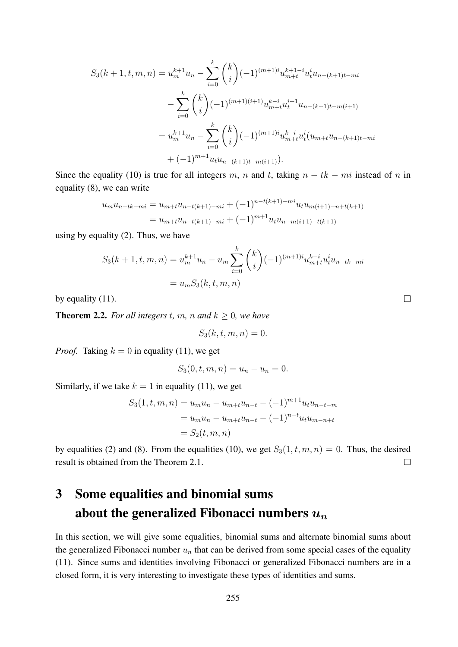$$
S_3(k+1,t,m,n) = u_m^{k+1}u_n - \sum_{i=0}^k {k \choose i} (-1)^{(m+1)i} u_{m+t}^{k+1-i} u_i^i u_{n-(k+1)t-mi}
$$
  

$$
- \sum_{i=0}^k {k \choose i} (-1)^{(m+1)(i+1)} u_{m+t}^{k-i} u_i^{i+1} u_{n-(k+1)t-m(i+1)}
$$
  

$$
= u_m^{k+1} u_n - \sum_{i=0}^k {k \choose i} (-1)^{(m+1)i} u_{m+t}^{k-i} u_i^i (u_{m+t} u_{n-(k+1)t-mi}
$$
  

$$
+ (-1)^{m+1} u_t u_{n-(k+1)t-m(i+1)}.
$$

Since the equality (10) is true for all integers m, n and t, taking  $n - tk - mi$  instead of n in equality (8), we can write

$$
u_m u_{n-tk-mi} = u_{m+t} u_{n-t(k+1)-mi} + (-1)^{n-t(k+1)-mi} u_t u_{m(i+1)-n+t(k+1)}
$$
  
= 
$$
u_{m+t} u_{n-t(k+1)-mi} + (-1)^{m+1} u_t u_{n-m(i+1)-t(k+1)}
$$

using by equality (2). Thus, we have

$$
S_3(k+1, t, m, n) = u_m^{k+1} u_n - u_m \sum_{i=0}^k {k \choose i} (-1)^{(m+1)i} u_{m+t}^{k-i} u_t^i u_{n-tk-mi}
$$
  
=  $u_m S_3(k, t, m, n)$ 

 $\Box$ 

by equality (11).

**Theorem 2.2.** *For all integers t, m, n and*  $k \geq 0$ *, we have* 

$$
S_3(k, t, m, n) = 0.
$$

*Proof.* Taking  $k = 0$  in equality (11), we get

$$
S_3(0, t, m, n) = u_n - u_n = 0.
$$

Similarly, if we take  $k = 1$  in equality (11), we get

$$
S_3(1, t, m, n) = u_m u_n - u_{m+t} u_{n-t} - (-1)^{m+1} u_t u_{n-t-m}
$$
  
=  $u_m u_n - u_{m+t} u_{n-t} - (-1)^{n-t} u_t u_{m-n+t}$   
=  $S_2(t, m, n)$ 

by equalities (2) and (8). From the equalities (10), we get  $S_3(1, t, m, n) = 0$ . Thus, the desired result is obtained from the Theorem 2.1.  $\Box$ 

## 3 Some equalities and binomial sums about the generalized Fibonacci numbers  $u_n$

In this section, we will give some equalities, binomial sums and alternate binomial sums about the generalized Fibonacci number  $u_n$  that can be derived from some special cases of the equality (11). Since sums and identities involving Fibonacci or generalized Fibonacci numbers are in a closed form, it is very interesting to investigate these types of identities and sums.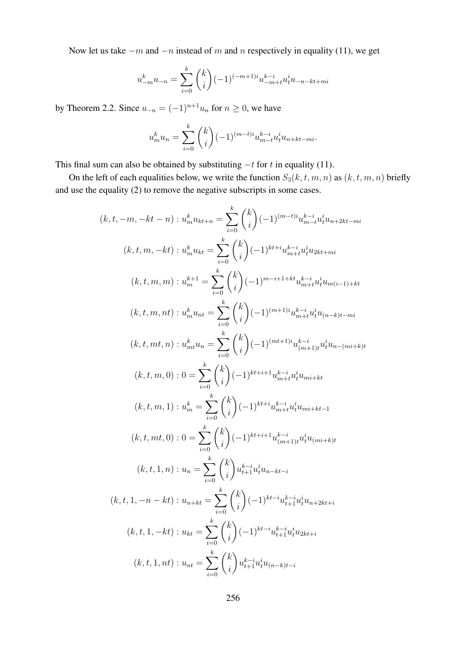Now let us take  $-m$  and  $-n$  instead of m and n respectively in equality (11), we get

$$
u_{-m}^{k}u_{-n} = \sum_{i=0}^{k} {k \choose i} (-1)^{(-m+1)i} u_{-m+t}^{k-i} u_{t}^{i}u_{-n-kt+mi}
$$

by Theorem 2.2. Since  $u_{-n} = (-1)^{n+1}u_n$  for  $n \ge 0$ , we have

$$
u_m^k u_n = \sum_{i=0}^k \binom{k}{i} (-1)^{(m-t)i} u_{m-t}^{k-i} u_t^i u_{n+kt-mi}.
$$

This final sum can also be obtained by substituting  $-t$  for t in equality (11).

On the left of each equalities below, we write the function  $S_3(k, t, m, n)$  as  $(k, t, m, n)$  briefly and use the equality (2) to remove the negative subscripts in some cases.

$$
(k, t, -m, -kt - n) : u_m^k u_{kt+n} = \sum_{i=0}^k {k \choose i} (-1)^{(m-t)i} u_{m-t}^{k-i} u_{i}^{i} u_{n+2kt-mi}
$$
  

$$
(k, t, m, -kt) : u_m^k u_{kt} = \sum_{i=0}^k {k \choose i} (-1)^{kt+i} u_{m+i}^{k-i} u_{i}^{i} u_{2kt+mi}
$$
  

$$
(k, t, m, m) : u_m^{k+1} = \sum_{i=0}^k {k \choose i} (-1)^{m-i+1+kt} u_{m+t}^{k-i} u_{i}^{i} u_{m(i-1)+kt}
$$
  

$$
(k, t, m, nt) : u_m^k u_{nt} = \sum_{i=0}^k {k \choose i} (-1)^{(m+1)i} u_{m+t}^{k-i} u_{i}^{i} u_{n-(k+1)m}
$$
  

$$
(k, t, mt, n) : u_{mt}^k u_n = \sum_{i=0}^k {k \choose i} (-1)^{(mt+1)i} u_{(m+1)i}^{k-i} u_{i}^{i} u_{n-(m+k)t}
$$
  

$$
(k, t, m, 0) : 0 = \sum_{i=0}^k {k \choose i} (-1)^{kt+i+1} u_{m+t}^{k-i} u_{i}^{i} u_{mi+kt}
$$
  

$$
(k, t, m, 1) : u_m^k = \sum_{i=0}^k {k \choose i} (-1)^{kt+i+1} u_{m+t}^{k-i} u_{i}^{i} u_{mi+kt-1}
$$
  

$$
(k, t, mt, 0) : 0 = \sum_{i=0}^k {k \choose i} (-1)^{kt+i+1} u_{(m+1)i}^{k-i} u_{i}^{i} u_{mi+kt-1}
$$
  

$$
(k, t, 1, n) : u_n = \sum_{i=0}^k {k \choose i} (-1)^{kt-i} u_{i+1}^{k-i} u_{i}^{i} u_{n+2kt+i}
$$
  

$$
(k, t, 1, -n - kt) : u_{nt} = \sum_{i=0}^k {k \choose i} (-1)^{kt-i} u_{i+1}^{k-i} u_{i}^{i} u_{n+2kt+i}
$$
  

$$
(k, t, 1, -kt) : u_{nt} = \sum_{
$$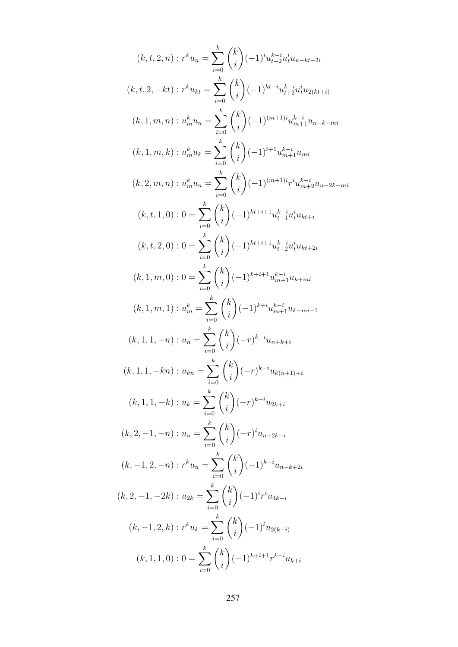$$
(k, t, 2, n) : r^{k}u_{n} = \sum_{i=0}^{k} {k \choose i} (-1)^{i} u_{i+2}^{k-i} u_{i}^{i} u_{n-k+2i}
$$
  
\n
$$
(k, t, 2, -kt) : r^{k}u_{kt} = \sum_{i=0}^{k} {k \choose i} (-1)^{kt-i} u_{i+2}^{k-i} u_{i}^{i} u_{2(kt+i)}
$$
  
\n
$$
(k, 1, m, n) : u_{m}^{k}u_{n} = \sum_{i=0}^{k} {k \choose i} (-1)^{(m+1)i} u_{m+1}^{k-i} u_{n-k-mi}
$$
  
\n
$$
(k, 1, m, k) : u_{m}^{k}u_{k} = \sum_{i=0}^{k} {k \choose i} (-1)^{i+1} u_{m+1}^{k-i} u_{m-k-mi}
$$
  
\n
$$
(k, 2, m, n) : u_{m}^{k}u_{n} = \sum_{i=0}^{k} {k \choose i} (-1)^{(m+1)i} r^{i} u_{m+2}^{k-i} u_{n-2k-mi}
$$
  
\n
$$
(k, t, 1, 0) : 0 = \sum_{i=0}^{k} {k \choose i} (-1)^{kt+i+1} u_{i+1}^{k-i} u_{i}^{i} u_{kt+i}
$$
  
\n
$$
(k, t, 2, 0) : 0 = \sum_{i=0}^{k} {k \choose i} (-1)^{kt+i+1} u_{i+2}^{k-i} u_{i}^{i} u_{kt+i}
$$
  
\n
$$
(k, 1, m, 0) : 0 = \sum_{i=0}^{k} {k \choose i} (-1)^{k+i+1} u_{m+1}^{k-i} u_{k+mi}
$$
  
\n
$$
(k, 1, m, 1) : u_{m}^{k} = \sum_{i=0}^{k} {k \choose i} (-1)^{k+i} u_{m+1}^{k-i} u_{k+mi-1}
$$
  
\n
$$
(k, 1, 1, -n) : u_{n} = \sum_{i=0}^{k} {k \choose i} (-r)^{k-i} u_{n+k+i}
$$
  
\n
$$
(k, 1, 1, -k) : u_{k} = \sum_{i=0}^{k} {k \choose i} (-r)^
$$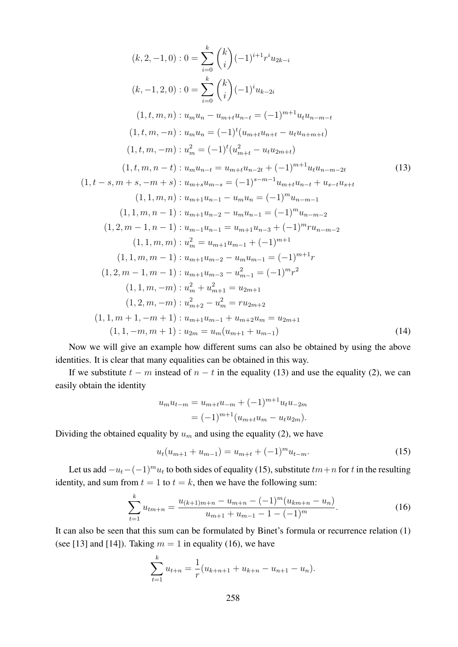$$
(k, 2, -1, 0) : 0 = \sum_{i=0}^{k} {k \choose i} (-1)^{i+1} r^{i} u_{2k-i}
$$
  
\n
$$
(k, -1, 2, 0) : 0 = \sum_{i=0}^{k} {k \choose i} (-1)^{i} u_{k-2i}
$$
  
\n
$$
(1, t, m, n) : u_m u_n - u_{m+t} u_{n-t} = (-1)^{m+1} u_t u_{n-m-t}
$$
  
\n
$$
(1, t, m, -n) : u_m u_n = (-1)^{t} (u_{m+t} u_{n+t} - u_t u_{n+m+t})
$$
  
\n
$$
(1, t, m, -m) : u_m^2 = (-1)^{t} (u_{m+t}^2 - u_t u_{2m+t})
$$
  
\n
$$
(1, t, m, n-t) : u_m u_{n-t} = u_{m+t} u_{n-2t} + (-1)^{m+1} u_t u_{n-m-2t}
$$
  
\n
$$
(1, t, m, n, t) : u_{m+3} u_{m-s} = (-1)^{s-m-1} u_{m+t} u_{n-t} + u_{s-t} u_{s+t}
$$
  
\n
$$
(1, 1, m, n) : u_{m+1} u_{n-1} - u_m u_n = (-1)^m u_{n-m-1}
$$
  
\n
$$
(1, 1, m, n, -1) : u_{m+1} u_{n-2} - u_m u_{n-1} = (-1)^m u_{n-m-2}
$$
  
\n
$$
(1, 2, m-1, n, -1) : u_{m-1} u_{n-1} = u_{m+1} u_{n-3} + (-1)^m r u_{n-m-2}
$$
  
\n
$$
(1, 1, m, m) : u_m^2 = u_{m+1} u_{m-1} + (-1)^{m+1}
$$
  
\n
$$
(1, 1, m, m-1) : u_{m+1} u_{m-2} - u_m u_{m-1} = (-1)^{m+1} r
$$
  
\n
$$
(1, 2, m-1, m-1) : u_{m+1} u_{m-3} - u_{m-1}^2 = (-1)^{m} r^2
$$
  
\n
$$
(1, 1, m, -m) : u_{m+2}^2 - u_m^2 = r u_{2m+2}
$$
<

Now we will give an example how different sums can also be obtained by using the above identities. It is clear that many equalities can be obtained in this way.

If we substitute  $t - m$  instead of  $n - t$  in the equality (13) and use the equality (2), we can easily obtain the identity

$$
u_m u_{t-m} = u_{m+t} u_{-m} + (-1)^{m+1} u_t u_{-2m}
$$
  
=  $(-1)^{m+1} (u_{m+t} u_m - u_t u_{2m}).$ 

Dividing the obtained equality by  $u_m$  and using the equality (2), we have

$$
u_t(u_{m+1} + u_{m-1}) = u_{m+t} + (-1)^m u_{t-m}.
$$
\n(15)

Let us add  $-u_t-(-1)^mu_t$  to both sides of equality (15), substitute  $tm+n$  for t in the resulting identity, and sum from  $t = 1$  to  $t = k$ , then we have the following sum:

$$
\sum_{t=1}^{k} u_{tm+n} = \frac{u_{(k+1)m+n} - u_{m+n} - (-1)^m (u_{km+n} - u_n)}{u_{m+1} + u_{m-1} - 1 - (-1)^m}.
$$
 (16)

It can also be seen that this sum can be formulated by Binet's formula or recurrence relation (1) (see [13] and [14]). Taking  $m = 1$  in equality (16), we have

$$
\sum_{t=1}^{k} u_{t+n} = \frac{1}{r} (u_{k+n+1} + u_{k+n} - u_{n+1} - u_n).
$$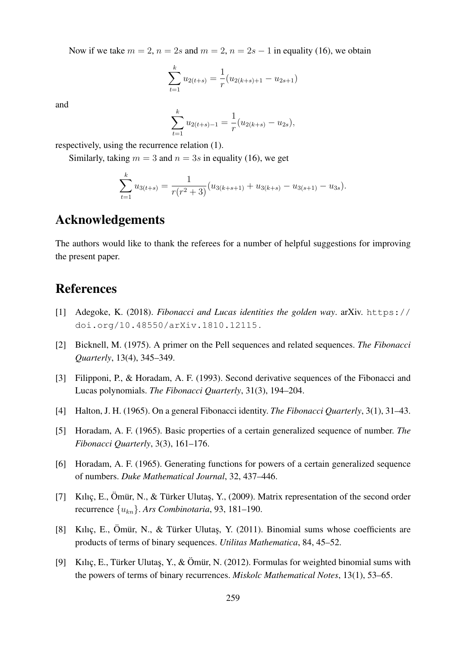Now if we take  $m = 2$ ,  $n = 2s$  and  $m = 2$ ,  $n = 2s - 1$  in equality (16), we obtain

$$
\sum_{t=1}^{k} u_{2(t+s)} = \frac{1}{r} (u_{2(k+s)+1} - u_{2s+1})
$$

and

$$
\sum_{t=1}^{k} u_{2(t+s)-1} = \frac{1}{r} (u_{2(k+s)} - u_{2s}),
$$

respectively, using the recurrence relation (1).

Similarly, taking  $m = 3$  and  $n = 3s$  in equality (16), we get

k

$$
\sum_{t=1}^{k} u_{3(t+s)} = \frac{1}{r(r^2+3)} (u_{3(k+s+1)} + u_{3(k+s)} - u_{3(s+1)} - u_{3s}).
$$

#### Acknowledgements

The authors would like to thank the referees for a number of helpful suggestions for improving the present paper.

#### References

- [1] Adegoke, K. (2018). *Fibonacci and Lucas identities the golden way*. arXiv. https:// doi.org/10.48550/arXiv.1810.12115 .
- [2] Bicknell, M. (1975). A primer on the Pell sequences and related sequences. *The Fibonacci Quarterly*, 13(4), 345–349.
- [3] Filipponi, P., & Horadam, A. F. (1993). Second derivative sequences of the Fibonacci and Lucas polynomials. *The Fibonacci Quarterly*, 31(3), 194–204.
- [4] Halton, J. H. (1965). On a general Fibonacci identity. *The Fibonacci Quarterly*, 3(1), 31–43.
- [5] Horadam, A. F. (1965). Basic properties of a certain generalized sequence of number. *The Fibonacci Quarterly*, 3(3), 161–176.
- [6] Horadam, A. F. (1965). Generating functions for powers of a certain generalized sequence of numbers. *Duke Mathematical Journal*, 32, 437–446.
- [7] Kılıç, E., Ömür, N., & Türker Ulutas, Y., (2009). Matrix representation of the second order recurrence {ukn}. *Ars Combinotaria*, 93, 181–190.
- [8] Kılıç, E., Ömür, N., & Türker Ulutaş, Y. (2011). Binomial sums whose coefficients are products of terms of binary sequences. *Utilitas Mathematica*, 84, 45–52.
- [9] Kılıç, E., Türker Ulutas, Y., & Ömür, N. (2012). Formulas for weighted binomial sums with the powers of terms of binary recurrences. *Miskolc Mathematical Notes*, 13(1), 53–65.